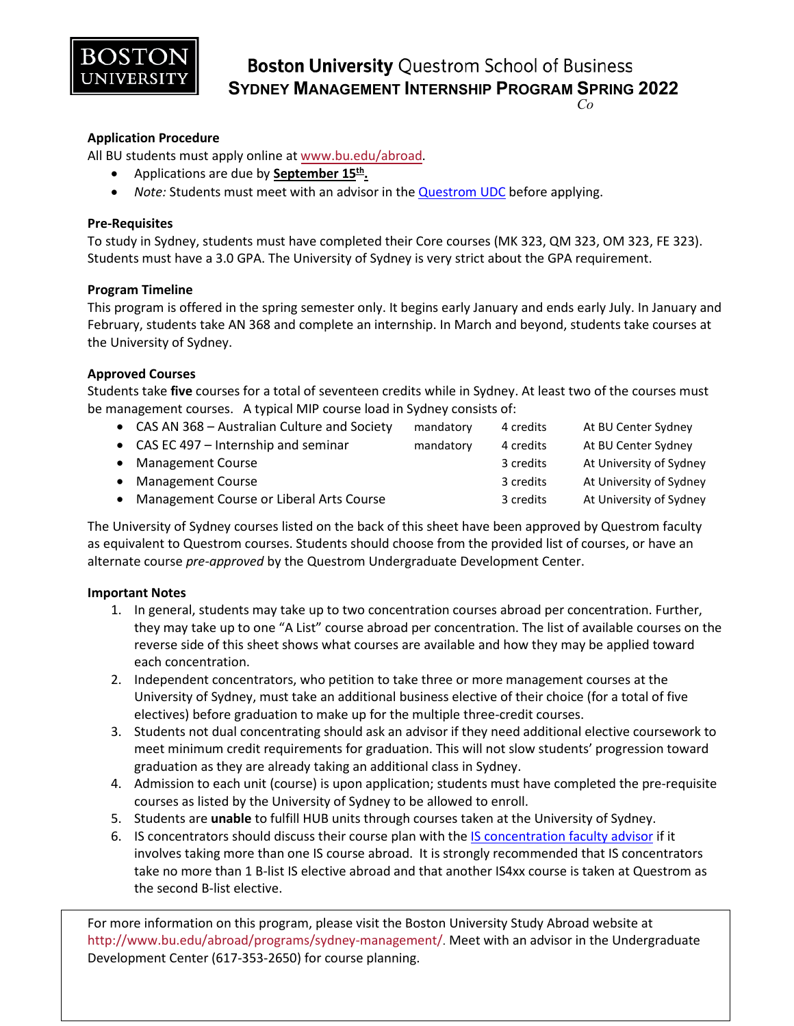

**Boston University Questrom School of Business SYDNEY MANAGEMENT INTERNSHIP PROGRAM SPRING 2022** *Co*

## **Application Procedure**

All BU students must apply online at [www.bu.edu/abroad.](http://www.bu.edu/abroad)

- Applications are due by **September 15th.**
- *Note:* Students must meet with an advisor in th[e Questrom UDC](http://questromworld.bu.edu/studyabroad/advising/) before applying.

### **Pre-Requisites**

To study in Sydney, students must have completed their Core courses (MK 323, QM 323, OM 323, FE 323). Students must have a 3.0 GPA. The University of Sydney is very strict about the GPA requirement.

### **Program Timeline**

This program is offered in the spring semester only. It begins early January and ends early July. In January and February, students take AN 368 and complete an internship. In March and beyond, students take courses at the University of Sydney.

### **Approved Courses**

Students take **five** courses for a total of seventeen credits while in Sydney. At least two of the courses must be management courses. A typical MIP course load in Sydney consists of:

| • CAS AN 368 - Australian Culture and Society | mandatory | 4 credits | At BU Center Sydney     |
|-----------------------------------------------|-----------|-----------|-------------------------|
| • CAS EC 497 – Internship and seminar         | mandatory | 4 credits | At BU Center Sydney     |
| • Management Course                           |           | 3 credits | At University of Sydney |
| • Management Course                           |           | 3 credits | At University of Sydney |
| • Management Course or Liberal Arts Course    |           | 3 credits | At University of Sydney |

The University of Sydney courses listed on the back of this sheet have been approved by Questrom faculty as equivalent to Questrom courses. Students should choose from the provided list of courses, or have an alternate course *pre-approved* by the Questrom Undergraduate Development Center.

#### **Important Notes**

- 1. In general, students may take up to two concentration courses abroad per concentration. Further, they may take up to one "A List" course abroad per concentration. The list of available courses on the reverse side of this sheet shows what courses are available and how they may be applied toward each concentration.
- 2. Independent concentrators, who petition to take three or more management courses at the University of Sydney, must take an additional business elective of their choice (for a total of five electives) before graduation to make up for the multiple three-credit courses.
- 3. Students not dual concentrating should ask an advisor if they need additional elective coursework to meet minimum credit requirements for graduation. This will not slow students' progression toward graduation as they are already taking an additional class in Sydney.
- 4. Admission to each unit (course) is upon application; students must have completed the pre-requisite courses as listed by the University of Sydney to be allowed to enroll.
- 5. Students are **unable** to fulfill HUB units through courses taken at the University of Sydney.
- 6. IS concentrators should discuss their course plan with the [IS concentration faculty advisor](http://questromworld.bu.edu/udc/academics/concentrations/#tab-id-5) if it involves taking more than one IS course abroad. It is strongly recommended that IS concentrators take no more than 1 B-list IS elective abroad and that another IS4xx course is taken at Questrom as the second B-list elective.

For more information on this program, please visit the Boston University Study Abroad website at <http://www.bu.edu/abroad/programs/sydney-management/>. Meet with an advisor in the Undergraduate Development Center (617-353-2650) for course planning.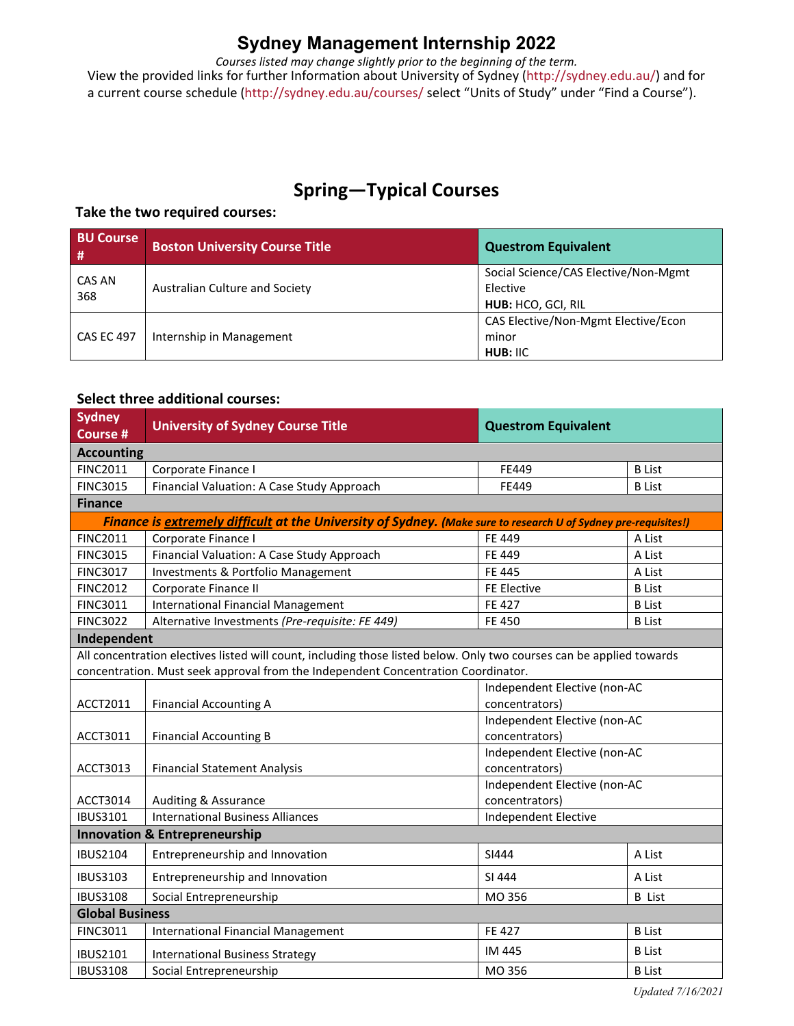## **Sydney Management Internship 2022**

*Courses listed may change slightly prior to the beginning of the term.* View the provided links for further Information about University of Sydney [\(http://sydney.edu.au/\)](http://sydney.edu.au/) and for a current course schedule (http://sydney.edu.au/courses/ select "Units of Study" under "Find a Course").

# **Spring—Typical Courses**

## **Take the two required courses:**

| <b>BU Course</b><br>-# | <b>Boston University Course Title</b> | <b>Questrom Equivalent</b>                               |
|------------------------|---------------------------------------|----------------------------------------------------------|
| CAS AN<br>368          | Australian Culture and Society        | Social Science/CAS Elective/Non-Mgmt<br>Elective         |
|                        |                                       | HUB: HCO, GCI, RIL                                       |
| <b>CAS EC 497</b>      | Internship in Management              | CAS Elective/Non-Mgmt Elective/Econ<br>minor<br>HUB: IIC |

## **Select three additional courses:**

| <b>Sydney</b><br><b>Course #</b> | <b>University of Sydney Course Title</b>                                                                             | <b>Questrom Equivalent</b>   |               |  |  |  |  |  |
|----------------------------------|----------------------------------------------------------------------------------------------------------------------|------------------------------|---------------|--|--|--|--|--|
| <b>Accounting</b>                |                                                                                                                      |                              |               |  |  |  |  |  |
| <b>FINC2011</b>                  | Corporate Finance I<br>FE449                                                                                         |                              | <b>B</b> List |  |  |  |  |  |
| <b>FINC3015</b>                  | Financial Valuation: A Case Study Approach                                                                           | FE449                        | <b>B</b> List |  |  |  |  |  |
| <b>Finance</b>                   |                                                                                                                      |                              |               |  |  |  |  |  |
|                                  | Finance is extremely difficult at the University of Sydney. (Make sure to research U of Sydney pre-requisites!)      |                              |               |  |  |  |  |  |
| <b>FINC2011</b>                  | Corporate Finance I                                                                                                  | FE 449                       | A List        |  |  |  |  |  |
| <b>FINC3015</b>                  | Financial Valuation: A Case Study Approach                                                                           | FE 449                       | A List        |  |  |  |  |  |
| <b>FINC3017</b>                  | Investments & Portfolio Management                                                                                   | <b>FE 445</b>                | A List        |  |  |  |  |  |
| <b>FINC2012</b>                  | Corporate Finance II                                                                                                 | FE Elective                  | <b>B</b> List |  |  |  |  |  |
| <b>FINC3011</b>                  | <b>International Financial Management</b>                                                                            | FE 427                       | <b>B</b> List |  |  |  |  |  |
| <b>FINC3022</b>                  | Alternative Investments (Pre-requisite: FE 449)                                                                      | <b>FE 450</b>                | <b>B</b> List |  |  |  |  |  |
| Independent                      |                                                                                                                      |                              |               |  |  |  |  |  |
|                                  | All concentration electives listed will count, including those listed below. Only two courses can be applied towards |                              |               |  |  |  |  |  |
|                                  | concentration. Must seek approval from the Independent Concentration Coordinator.                                    |                              |               |  |  |  |  |  |
|                                  |                                                                                                                      | Independent Elective (non-AC |               |  |  |  |  |  |
| ACCT2011                         | <b>Financial Accounting A</b>                                                                                        | concentrators)               |               |  |  |  |  |  |
|                                  |                                                                                                                      | Independent Elective (non-AC |               |  |  |  |  |  |
| ACCT3011                         | <b>Financial Accounting B</b>                                                                                        | concentrators)               |               |  |  |  |  |  |
|                                  |                                                                                                                      | Independent Elective (non-AC |               |  |  |  |  |  |
| ACCT3013                         | <b>Financial Statement Analysis</b>                                                                                  | concentrators)               |               |  |  |  |  |  |
|                                  |                                                                                                                      | Independent Elective (non-AC |               |  |  |  |  |  |
| ACCT3014                         | Auditing & Assurance                                                                                                 | concentrators)               |               |  |  |  |  |  |
| <b>IBUS3101</b>                  | <b>International Business Alliances</b>                                                                              | <b>Independent Elective</b>  |               |  |  |  |  |  |
|                                  | <b>Innovation &amp; Entrepreneurship</b>                                                                             |                              |               |  |  |  |  |  |
| <b>IBUS2104</b>                  | Entrepreneurship and Innovation                                                                                      | SI444                        | A List        |  |  |  |  |  |
| <b>IBUS3103</b>                  | Entrepreneurship and Innovation                                                                                      | SI 444                       | A List        |  |  |  |  |  |
| <b>IBUS3108</b>                  | Social Entrepreneurship                                                                                              | MO 356                       | <b>B</b> List |  |  |  |  |  |
| <b>Global Business</b>           |                                                                                                                      |                              |               |  |  |  |  |  |
| <b>FINC3011</b>                  | <b>International Financial Management</b>                                                                            | FE 427                       | <b>B</b> List |  |  |  |  |  |
| <b>IBUS2101</b>                  | <b>International Business Strategy</b>                                                                               | IM 445<br><b>B</b> List      |               |  |  |  |  |  |
| <b>IBUS3108</b>                  | Social Entrepreneurship                                                                                              | MO 356                       | <b>B</b> List |  |  |  |  |  |
|                                  |                                                                                                                      |                              |               |  |  |  |  |  |

*Updated 7/16/2021*